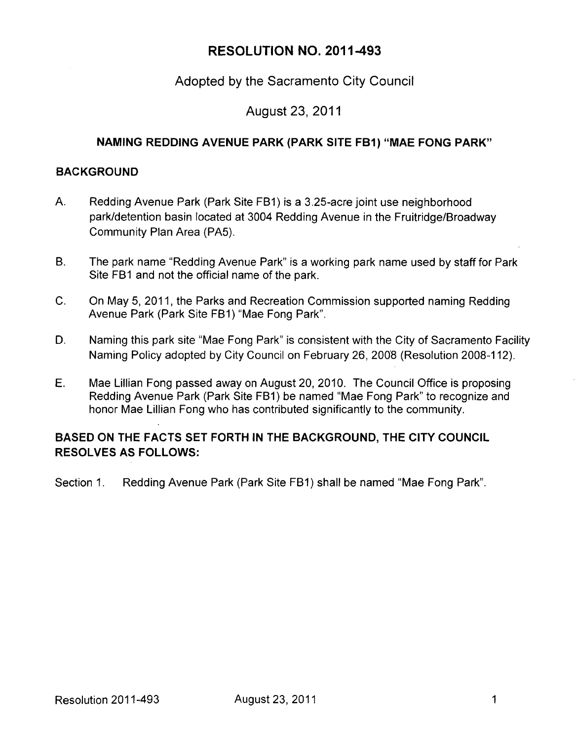# RESOLUTION NO. 2011-493

## Adopted by the Sacramento City Council

### August 23, 2011

### **NAMING REDDING AVENUE PARK (PARK SITE FBI) "MAE FONG PARK"**

#### **BACKGROUND**

- A. Redding Avenue Park (Park Site FB1) is a 3.25-acre joint use neighborhood park/detention basin located at 3004 Redding Avenue in the Fruitridge/Broadway Community Plan Area (PA5).
- B. The park name "Redding Avenue Park" is a working park name used by staff for Park Site FB1 and not the official name of the park.
- C. On May 5, 2011, the Parks and Recreation Commission supported naming Redding Avenue Park (Park Site FB1) "Mae Fong Park".
- D. Naming this park site "Mae Fong Park" is consistent with the City of Sacramento Facility Naming Policy adopted by City Council on February 26, 2008 (Resolution 2008-112).
- E. Mae Lillian Fong passed away on August 20, 2010. The Council Office is proposing Redding Avenue Park (Park Site FB1) be named "Mae Fong Park" to recognize and honor Mae Lillian Fong who has contributed significantly to the community.

### **BASED ON THE FACTS SET FORTH IN THE BACKGROUND, THE CITY COUNCIL RESOLVES AS FOLLOWS:**

Section 1. Redding Avenue Park (Park Site FB1) shall be named "Mae Fong Park".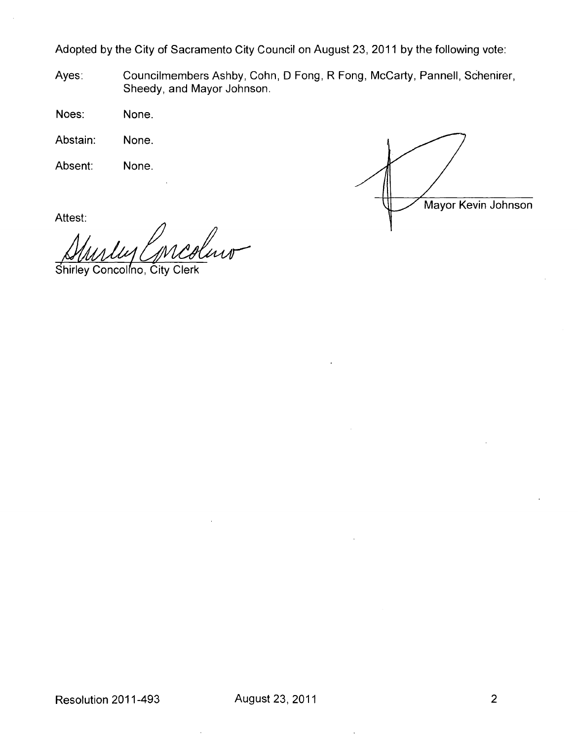Adopted by the City of Sacramento City Council on August 23, 2011 by the following vote:

Ayes: Councilmembers Ashby, Cohn, D Fong, R Fong, McCarty, Pannell, Schenirer, Sheedy, and Mayor Johnson.

Noes: None.

Abstain: None.

Absent: None.



Attest:

Inv Shirley Concolino, City Clerk

Resolution 2011-493 August 23, 2011 2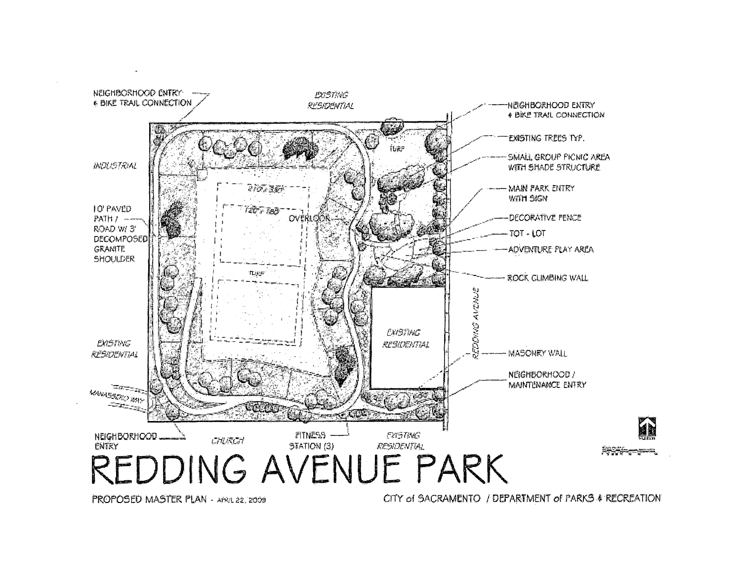

PROPOSED MASTER PLAN - APRA 22, 2009

CITY of SACRAMENTO / DEPARTMENT of PARKS & RECREATION